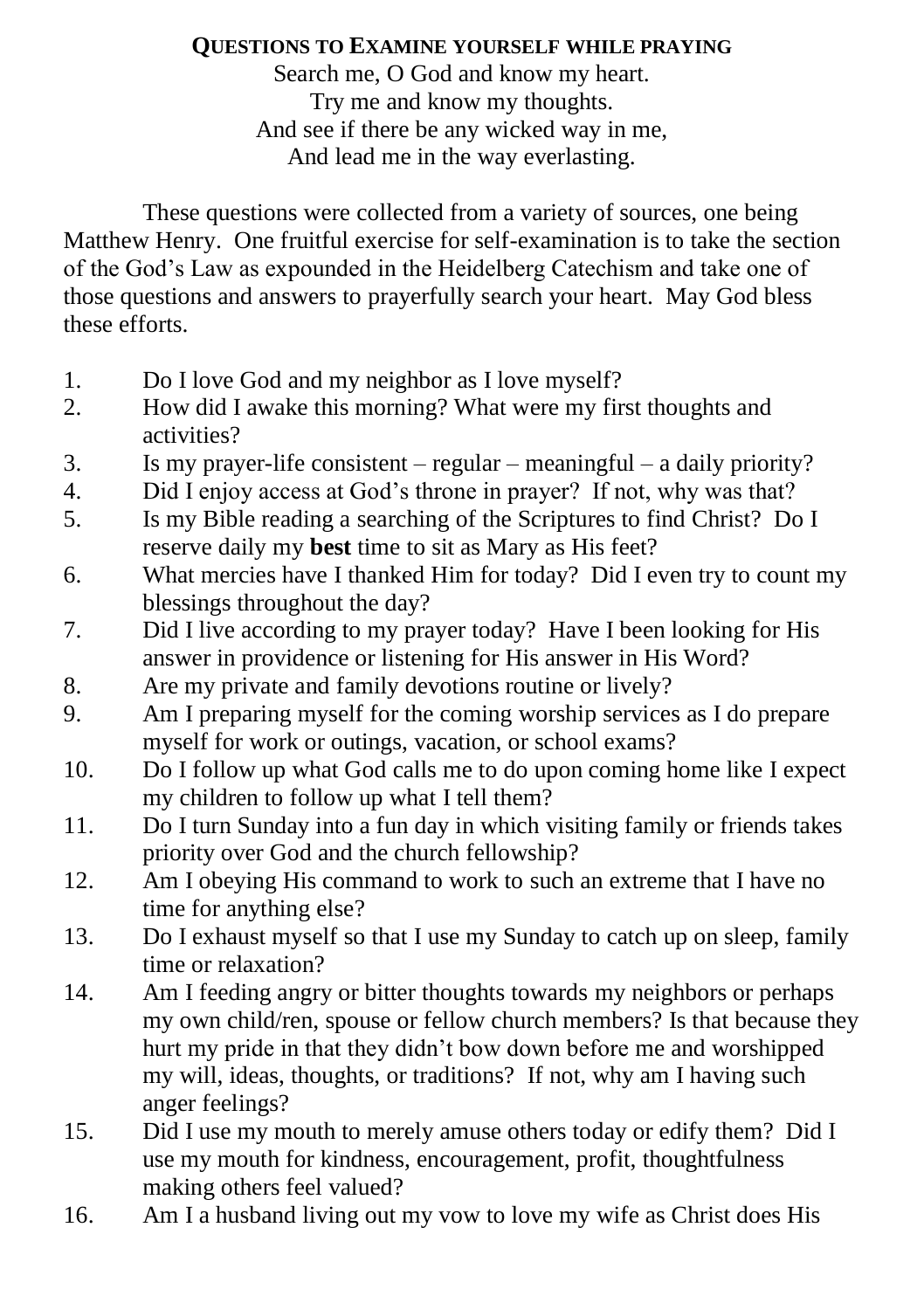## **QUESTIONS TO EXAMINE YOURSELF WHILE PRAYING**

Search me, O God and know my heart. Try me and know my thoughts. And see if there be any wicked way in me, And lead me in the way everlasting.

These questions were collected from a variety of sources, one being Matthew Henry. One fruitful exercise for self-examination is to take the section of the God's Law as expounded in the Heidelberg Catechism and take one of those questions and answers to prayerfully search your heart. May God bless these efforts.

- 1. Do I love God and my neighbor as I love myself?
- 2. How did I awake this morning? What were my first thoughts and activities?
- 3. Is my prayer-life consistent regular meaningful a daily priority?
- 4. Did I enjoy access at God's throne in prayer? If not, why was that?
- 5. Is my Bible reading a searching of the Scriptures to find Christ? Do I reserve daily my **best** time to sit as Mary as His feet?
- 6. What mercies have I thanked Him for today? Did I even try to count my blessings throughout the day?
- 7. Did I live according to my prayer today? Have I been looking for His answer in providence or listening for His answer in His Word?
- 8. Are my private and family devotions routine or lively?
- 9. Am I preparing myself for the coming worship services as I do prepare myself for work or outings, vacation, or school exams?
- 10. Do I follow up what God calls me to do upon coming home like I expect my children to follow up what I tell them?
- 11. Do I turn Sunday into a fun day in which visiting family or friends takes priority over God and the church fellowship?
- 12. Am I obeying His command to work to such an extreme that I have no time for anything else?
- 13. Do I exhaust myself so that I use my Sunday to catch up on sleep, family time or relaxation?
- 14. Am I feeding angry or bitter thoughts towards my neighbors or perhaps my own child/ren, spouse or fellow church members? Is that because they hurt my pride in that they didn't bow down before me and worshipped my will, ideas, thoughts, or traditions? If not, why am I having such anger feelings?
- 15. Did I use my mouth to merely amuse others today or edify them? Did I use my mouth for kindness, encouragement, profit, thoughtfulness making others feel valued?
- 16. Am I a husband living out my vow to love my wife as Christ does His